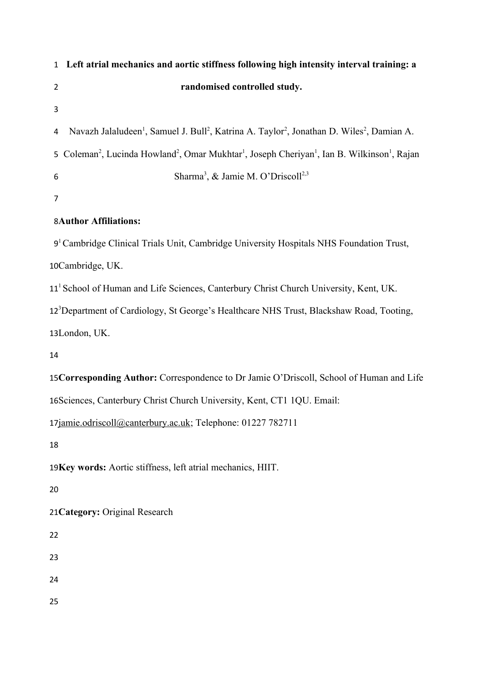|                | Left atrial mechanics and aortic stiffness following high intensity interval training: a<br>$\mathbf{1}$                                               |  |  |
|----------------|--------------------------------------------------------------------------------------------------------------------------------------------------------|--|--|
| $\overline{2}$ | randomised controlled study.                                                                                                                           |  |  |
| 3              |                                                                                                                                                        |  |  |
| 4              | Navazh Jalaludeen <sup>1</sup> , Samuel J. Bull <sup>2</sup> , Katrina A. Taylor <sup>2</sup> , Jonathan D. Wiles <sup>2</sup> , Damian A.             |  |  |
| 5              | Coleman <sup>2</sup> , Lucinda Howland <sup>2</sup> , Omar Mukhtar <sup>1</sup> , Joseph Cheriyan <sup>1</sup> , Ian B. Wilkinson <sup>1</sup> , Rajan |  |  |
| 6              | Sharma <sup>3</sup> , & Jamie M. O'Driscoll <sup>2,3</sup>                                                                                             |  |  |
| $\overline{7}$ |                                                                                                                                                        |  |  |
|                | <b>8Author Affiliations:</b>                                                                                                                           |  |  |
|                | 9 <sup>1</sup> Cambridge Clinical Trials Unit, Cambridge University Hospitals NHS Foundation Trust,                                                    |  |  |
|                | 10Cambridge, UK.                                                                                                                                       |  |  |
|                | 11 <sup>1</sup> School of Human and Life Sciences, Canterbury Christ Church University, Kent, UK.                                                      |  |  |
|                | 12 <sup>3</sup> Department of Cardiology, St George's Healthcare NHS Trust, Blackshaw Road, Tooting,                                                   |  |  |
|                | 13London, UK.                                                                                                                                          |  |  |
| 14             |                                                                                                                                                        |  |  |
|                | 15 Corresponding Author: Correspondence to Dr Jamie O'Driscoll, School of Human and Life                                                               |  |  |
|                | 16 Sciences, Canterbury Christ Church University, Kent, CT1 1QU. Email:                                                                                |  |  |
|                | 17jamie.odriscoll@canterbury.ac.uk; Telephone: 01227 782711                                                                                            |  |  |
| 18             |                                                                                                                                                        |  |  |
|                | 19Key words: Aortic stiffness, left atrial mechanics, HIIT.                                                                                            |  |  |
| 20             |                                                                                                                                                        |  |  |
|                | 21 Category: Original Research                                                                                                                         |  |  |
| 22             |                                                                                                                                                        |  |  |
| 23             |                                                                                                                                                        |  |  |
| 24             |                                                                                                                                                        |  |  |
| 25             |                                                                                                                                                        |  |  |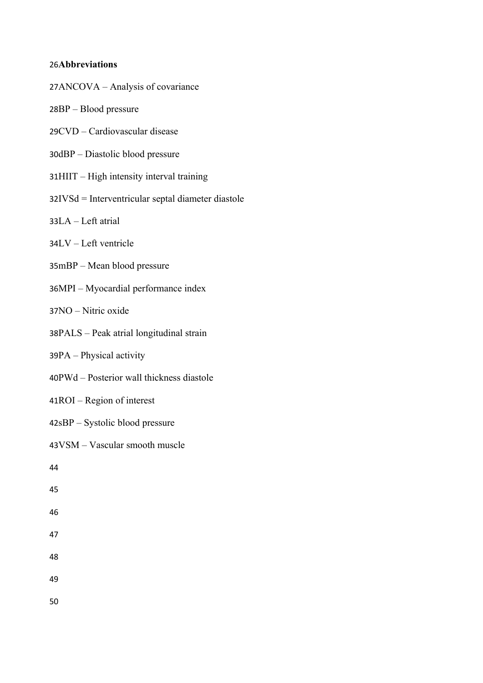# **Abbreviations** 26

- 27ANCOVA Analysis of covariance
- 28BP Blood pressure
- 29CVD Cardiovascular disease
- 30dBP Diastolic blood pressure
- 31HIIT High intensity interval training
- 32IVSd = Interventricular septal diameter diastole
- 33LA Left atrial
- 34LV Left ventricle
- 35mBP Mean blood pressure
- 36MPI Myocardial performance index
- 37NO Nitric oxide
- 38PALS Peak atrial longitudinal strain
- 39PA Physical activity
- 40PWd Posterior wall thickness diastole
- 41ROI Region of interest
- 42sBP Systolic blood pressure
- 43VSM Vascular smooth muscle

- 45
- 46
- 47
- 48
- 49
- 50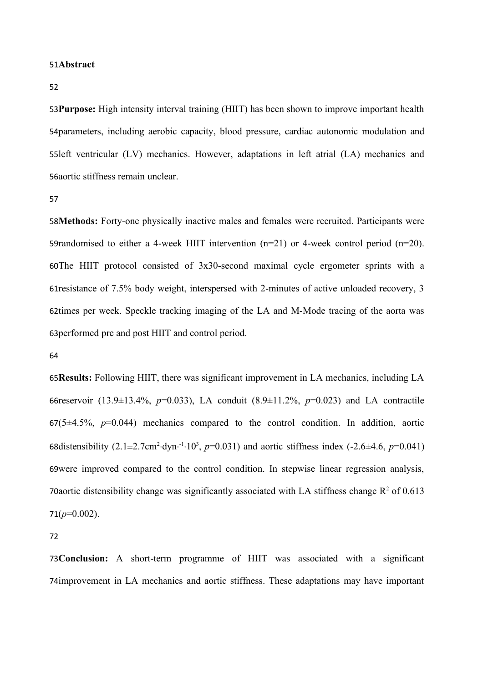#### 51Abstract

52

53 Purpose: High intensity interval training (HIIT) has been shown to improve important health 54parameters, including aerobic capacity, blood pressure, cardiac autonomic modulation and 55left ventricular (LV) mechanics. However, adaptations in left atrial (LA) mechanics and 56aortic stiffness remain unclear.

57

58Methods: Forty-one physically inactive males and females were recruited. Participants were 59randomised to either a 4-week HIIT intervention  $(n=21)$  or 4-week control period  $(n=20)$ . 60The HIIT protocol consisted of 3x30-second maximal cycle ergometer sprints with a 61 resistance of 7.5% body weight, interspersed with 2-minutes of active unloaded recovery, 3 62times per week. Speckle tracking imaging of the LA and M-Mode tracing of the aorta was 63 performed pre and post HIIT and control period.

64

65 Results: Following HIIT, there was significant improvement in LA mechanics, including LA 66 reservoir (13.9 ± 13.4%, *p*=0.033), LA conduit (8.9 ± 11.2%, *p*=0.023) and LA contractile  $67(5\pm4.5\%, p=0.044)$  mechanics compared to the control condition. In addition, aortic 68distensibility  $(2.1 \pm 2.7 \text{cm}^2 \cdot \text{dyn} \cdot \frac{1}{10^3}, p=0.031)$  and aortic stiffness index  $(-2.6 \pm 4.6, p=0.041)$ 69were improved compared to the control condition. In stepwise linear regression analysis, 70aortic distensibility change was significantly associated with LA stiffness change  $R^2$  of 0.613  $71(p=0.002)$ .

72

**Conclusion:** A short-term programme of HIIT was associated with a significant 73 74improvement in LA mechanics and aortic stiffness. These adaptations may have important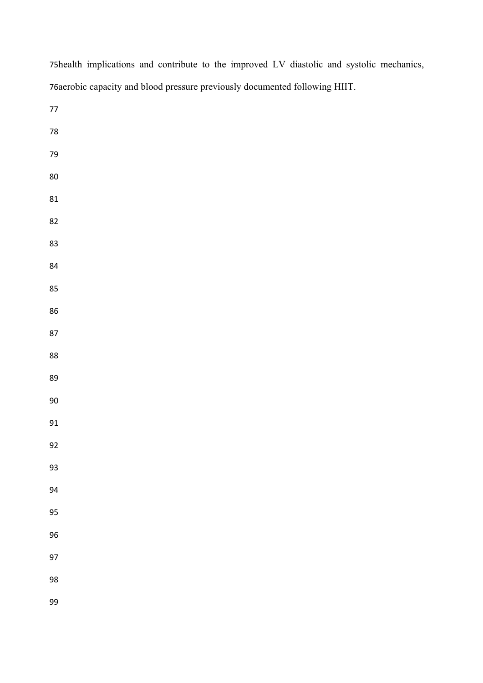| orderout capacity and prood pressure previously documented following HIT. |
|---------------------------------------------------------------------------|
| $77\,$                                                                    |
| ${\bf 78}$                                                                |
| 79                                                                        |
| $80\,$                                                                    |
| 81                                                                        |
| 82                                                                        |
| 83                                                                        |
| 84                                                                        |
| 85                                                                        |
| 86                                                                        |
| 87                                                                        |
| 88                                                                        |
| 89                                                                        |
| $90\,$                                                                    |
| 91                                                                        |
| 92                                                                        |
| 93                                                                        |
| 94                                                                        |
| 95                                                                        |
| 96                                                                        |
| 97                                                                        |
| 98                                                                        |
| 99                                                                        |

75health implications and contribute to the improved LV diastolic and systolic mechanics, 76aerobic capacity and blood pressure previously documented following HIIT.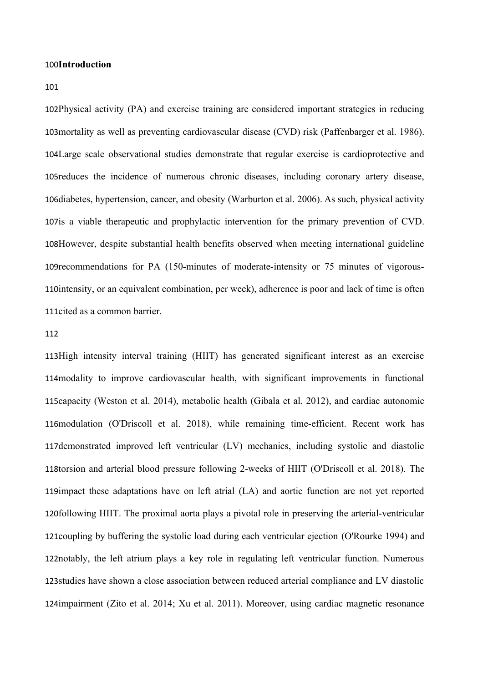#### 100Introduction

101

102Physical activity (PA) and exercise training are considered important strategies in reducing 103 mortality as well as preventing cardiovascular disease (CVD) risk (Paffenbarger et al. 1986). 104Large scale observational studies demonstrate that regular exercise is cardioprotective and 105 reduces the incidence of numerous chronic diseases, including coronary artery disease, 106diabetes, hypertension, cancer, and obesity (Warburton et al. 2006). As such, physical activity 107 is a viable therapeutic and prophylactic intervention for the primary prevention of CVD. 108However, despite substantial health benefits observed when meeting international guideline 109recommendations for PA (150-minutes of moderate-intensity or 75 minutes of vigorous-110 intensity, or an equivalent combination, per week), adherence is poor and lack of time is often 111cited as a common barrier.

#### 112

113High intensity interval training (HIIT) has generated significant interest as an exercise 114 modality to improve cardiovascular health, with significant improvements in functional 115capacity (Weston et al. 2014), metabolic health (Gibala et al. 2012), and cardiac autonomic 116modulation (O'Driscoll et al. 2018), while remaining time-efficient. Recent work has 117 demonstrated improved left ventricular (LV) mechanics, including systolic and diastolic 118torsion and arterial blood pressure following 2-weeks of HIIT (O'Driscoll et al. 2018). The 119 impact these adaptations have on left atrial (LA) and aortic function are not yet reported 120following HIIT. The proximal aorta plays a pivotal role in preserving the arterial-ventricular 121 coupling by buffering the systolic load during each ventricular ejection (O'Rourke 1994) and 122notably, the left atrium plays a key role in regulating left ventricular function. Numerous 123studies have shown a close association between reduced arterial compliance and LV diastolic 124impairment (Zito et al. 2014; Xu et al. 2011). Moreover, using cardiac magnetic resonance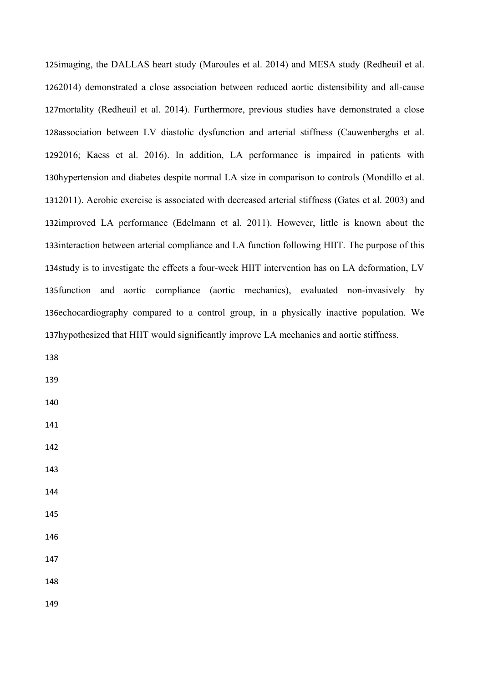125imaging, the DALLAS heart study (Maroules et al. 2014) and MESA study (Redheuil et al. 2014) demonstrated a close association between reduced aortic distensibility and all-cause 126 127 mortality (Redheuil et al. 2014). Furthermore, previous studies have demonstrated a close 128association between LV diastolic dysfunction and arterial stiffness (Cauwenberghs et al. 2016; Kaess et al. 2016). In addition, LA performance is impaired in patients with 129 130hypertension and diabetes despite normal LA size in comparison to controls (Mondillo et al. 2011). Aerobic exercise is associated with decreased arterial stiffness (Gates et al. 2003) and 131 132improved LA performance (Edelmann et al. 2011). However, little is known about the 133 interaction between arterial compliance and LA function following HIIT. The purpose of this 134study is to investigate the effects a four-week HIIT intervention has on LA deformation, LV 135 function and aortic compliance (aortic mechanics), evaluated non-invasively by 136echocardiography compared to a control group, in a physically inactive population. We 137hypothesized that HIIT would significantly improve LA mechanics and aortic stiffness.

138

139

- 140
- 141
- 142
- 143
- 144
- 145
- 146

147

148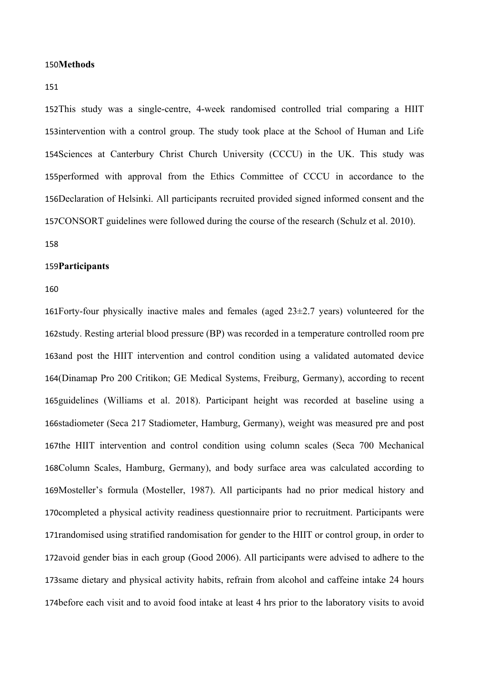#### 150Methods

151

152This study was a single-centre, 4-week randomised controlled trial comparing a HIIT 153intervention with a control group. The study took place at the School of Human and Life 154 Sciences at Canterbury Christ Church University (CCCU) in the UK. This study was 155performed with approval from the Ethics Committee of CCCU in accordance to the 156Declaration of Helsinki. All participants recruited provided signed informed consent and the 157CONSORT guidelines were followed during the course of the research (Schulz et al. 2010).

## 158

#### **Participants** 159

160

161 Forty-four physically inactive males and females (aged  $23\pm2.7$  years) volunteered for the 162study. Resting arterial blood pressure (BP) was recorded in a temperature controlled room pre 163and post the HIIT intervention and control condition using a validated automated device 164(Dinamap Pro 200 Critikon; GE Medical Systems, Freiburg, Germany), according to recent 165guidelines (Williams et al. 2018). Participant height was recorded at baseline using a 166stadiometer (Seca 217 Stadiometer, Hamburg, Germany), weight was measured pre and post 167the HIIT intervention and control condition using column scales (Seca 700 Mechanical 168Column Scales, Hamburg, Germany), and body surface area was calculated according to 169Mosteller's formula (Mosteller, 1987). All participants had no prior medical history and 170completed a physical activity readiness questionnaire prior to recruitment. Participants were 171 randomised using stratified randomisation for gender to the HIIT or control group, in order to 172avoid gender bias in each group (Good 2006). All participants were advised to adhere to the 173same dietary and physical activity habits, refrain from alcohol and caffeine intake 24 hours 174before each visit and to avoid food intake at least 4 hrs prior to the laboratory visits to avoid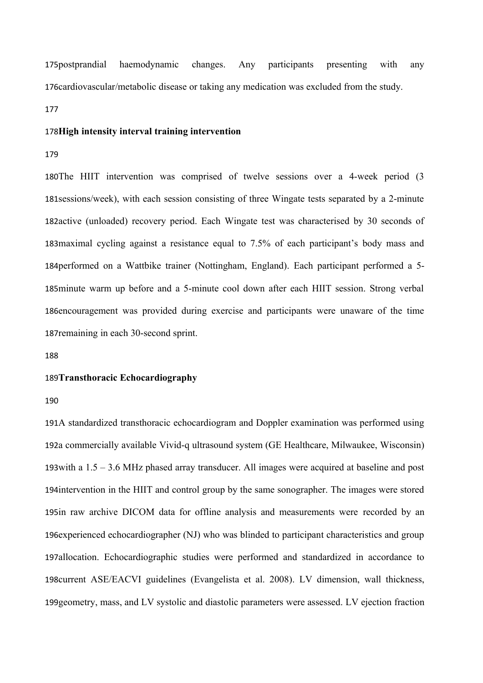haemodynamic changes. Any participants presenting with any 176cardiovascular/metabolic disease or taking any medication was excluded from the study. 175postprandial

177

## 178High intensity interval training intervention

179

180The HIIT intervention was comprised of twelve sessions over a 4-week period (3 181 sessions/week), with each session consisting of three Wingate tests separated by a 2-minute 182active (unloaded) recovery period. Each Wingate test was characterised by 30 seconds of 183 maximal cycling against a resistance equal to 7.5% of each participant's body mass and 184 performed on a Wattbike trainer (Nottingham, England). Each participant performed a 5-185minute warm up before and a 5-minute cool down after each HIIT session. Strong verbal 186encouragement was provided during exercise and participants were unaware of the time 187remaining in each 30-second sprint.

188

## **Transthoracic Echocardiography** 189

190

191A standardized transthoracic echocardiogram and Doppler examination was performed using 192a commercially available Vivid-q ultrasound system (GE Healthcare, Milwaukee, Wisconsin) 193 with a  $1.5 - 3.6$  MHz phased array transducer. All images were acquired at baseline and post 194 intervention in the HIIT and control group by the same sonographer. The images were stored 195in raw archive DICOM data for offline analysis and measurements were recorded by an 196 experienced echocardiographer (NJ) who was blinded to participant characteristics and group 197allocation. Echocardiographic studies were performed and standardized in accordance to 198current ASE/EACVI guidelines (Evangelista et al. 2008). LV dimension, wall thickness, 199geometry, mass, and LV systolic and diastolic parameters were assessed. LV ejection fraction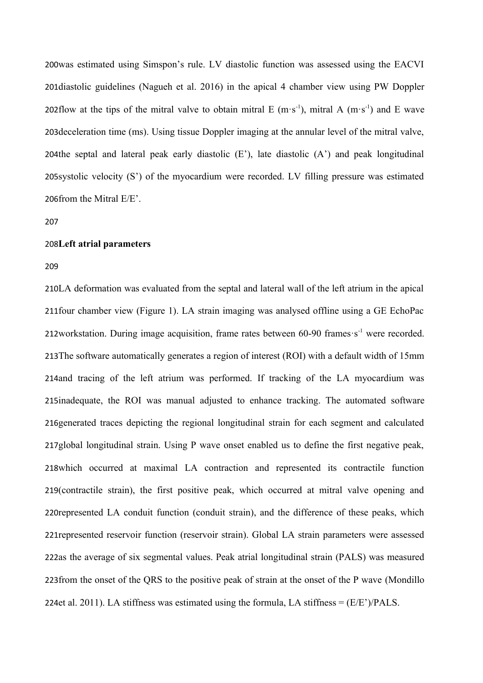200was estimated using Simspon's rule. LV diastolic function was assessed using the EACVI 201diastolic guidelines (Nagueh et al. 2016) in the apical 4 chamber view using PW Doppler 202flow at the tips of the mitral valve to obtain mitral E (m·s<sup>-1</sup>), mitral A (m·s<sup>-1</sup>) and E wave 203deceleration time (ms). Using tissue Doppler imaging at the annular level of the mitral valve, 204the septal and lateral peak early diastolic  $(E')$ , late diastolic  $(A')$  and peak longitudinal 205 systolic velocity  $(S')$  of the myocardium were recorded. LV filling pressure was estimated 206 from the Mitral  $E/E$ .

#### 207

#### **Left atrial parameters** 208

#### 209

210LA deformation was evaluated from the septal and lateral wall of the left atrium in the apical 211 four chamber view (Figure 1). LA strain imaging was analysed offline using a GE EchoPac 212workstation. During image acquisition, frame rates between 60-90 frames s<sup>-1</sup> were recorded. 213The software automatically generates a region of interest (ROI) with a default width of 15mm 214and tracing of the left atrium was performed. If tracking of the LA myocardium was 215inadequate, the ROI was manual adjusted to enhance tracking. The automated software 216generated traces depicting the regional longitudinal strain for each segment and calculated 217global longitudinal strain. Using P wave onset enabled us to define the first negative peak, 218 which occurred at maximal LA contraction and represented its contractile function 219(contractile strain), the first positive peak, which occurred at mitral valve opening and 220 represented LA conduit function (conduit strain), and the difference of these peaks, which 221 represented reservoir function (reservoir strain). Global LA strain parameters were assessed 222as the average of six segmental values. Peak atrial longitudinal strain (PALS) was measured 223 from the onset of the QRS to the positive peak of strain at the onset of the P wave (Mondillo 224et al. 2011). LA stiffness was estimated using the formula, LA stiffness =  $(E/E<sup>2</sup>)/PALS$ .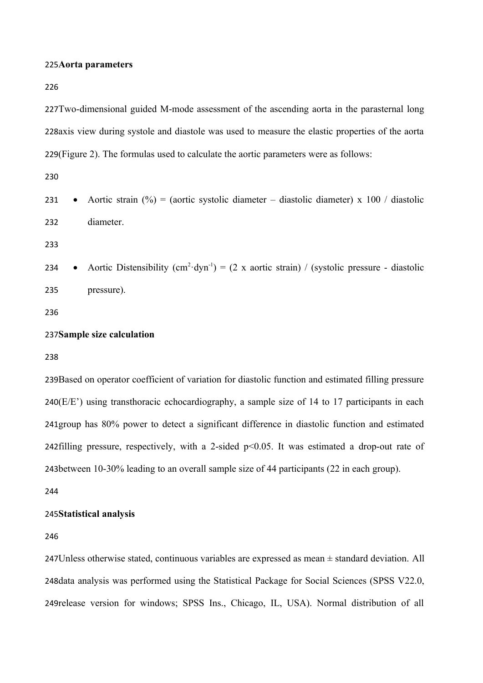#### 225Aorta parameters

226

227Two-dimensional guided M-mode assessment of the ascending aorta in the parasternal long 228axis view during systole and diastole was used to measure the elastic properties of the aorta 229(Figure 2). The formulas used to calculate the aortic parameters were as follows:

230

|     | 231 • Aortic strain $\binom{9}{0}$ = (aortic systolic diameter – diastolic diameter) x 100 / diastolic |
|-----|--------------------------------------------------------------------------------------------------------|
| 232 | diameter.                                                                                              |

233

• Aortic Distensibility  $(cm^2 \cdot dyn^{-1}) = (2 \times aortic strain) / (systolic pressure - diastolic$ pressure). 234 235

236

#### 237Sample size calculation

238

239Based on operator coefficient of variation for diastolic function and estimated filling pressure  $240(E/E')$  using transthoracic echocardiography, a sample size of 14 to 17 participants in each 241group has 80% power to detect a significant difference in diastolic function and estimated 242 filling pressure, respectively, with a 2-sided  $p<0.05$ . It was estimated a drop-out rate of 243between 10-30% leading to an overall sample size of 44 participants (22 in each group).

244

#### **Statistical analysis** 245

246

247 Unless otherwise stated, continuous variables are expressed as mean  $\pm$  standard deviation. All 248data analysis was performed using the Statistical Package for Social Sciences (SPSS V22.0, 249release version for windows; SPSS Ins., Chicago, IL, USA). Normal distribution of all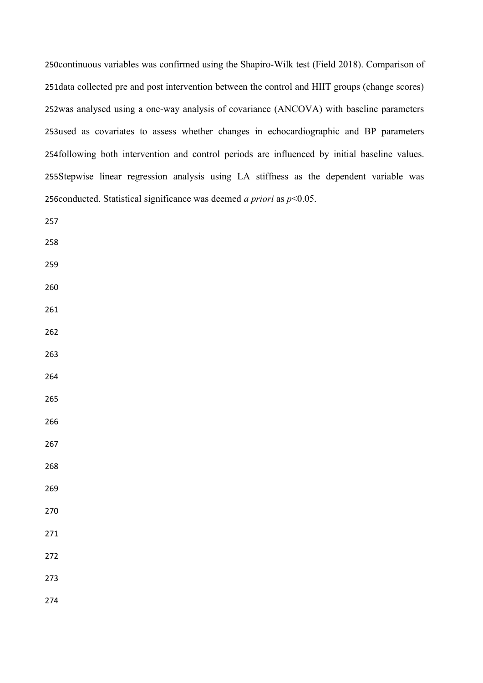250 continuous variables was confirmed using the Shapiro-Wilk test (Field 2018). Comparison of 251 data collected pre and post intervention between the control and HIIT groups (change scores) 252was analysed using a one-way analysis of covariance (ANCOVA) with baseline parameters 253used as covariates to assess whether changes in echocardiographic and BP parameters 254following both intervention and control periods are influenced by initial baseline values. 255Stepwise linear regression analysis using LA stiffness as the dependent variable was 256 conducted. Statistical significance was deemed *a priori* as  $p<0.05$ .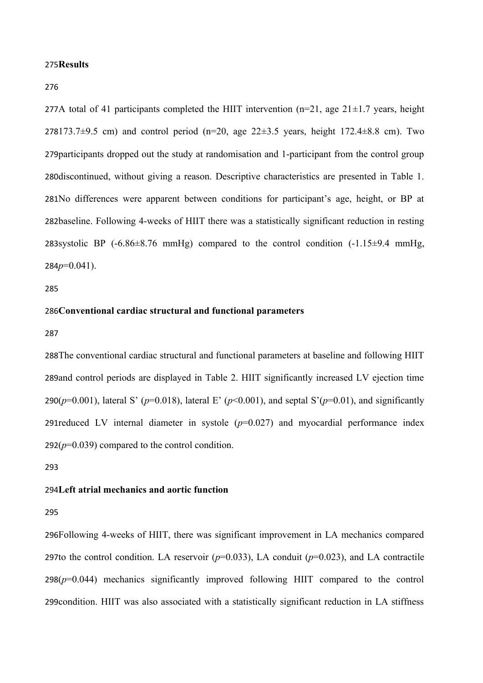#### 275Results

276

277A total of 41 participants completed the HIIT intervention ( $n=21$ , age  $21\pm1.7$  years, height 278173.7 $\pm$ 9.5 cm) and control period (n=20, age 22 $\pm$ 3.5 years, height 172.4 $\pm$ 8.8 cm). Two 279participants dropped out the study at randomisation and 1-participant from the control group 280 discontinued, without giving a reason. Descriptive characteristics are presented in Table 1. 281No differences were apparent between conditions for participant's age, height, or BP at 282baseline. Following 4-weeks of HIIT there was a statistically significant reduction in resting 283systolic BP  $(-6.86 \pm 8.76 \text{ mmHg})$  compared to the control condition  $(-1.15 \pm 9.4 \text{ mmHg})$ *p*=0.041). 284

285

#### **Conventional cardiac structural and functional parameters** 286

287

288The conventional cardiac structural and functional parameters at baseline and following HIIT 289and control periods are displayed in Table 2. HIIT significantly increased LV ejection time 290( $p=0.001$ ), lateral S' ( $p=0.018$ ), lateral E' ( $p<0.001$ ), and septal S'( $p=0.01$ ), and significantly 291 reduced LV internal diameter in systole  $(p=0.027)$  and myocardial performance index  $292(p=0.039)$  compared to the control condition.

293

#### **Left atrial mechanics and aortic function** 294

295

296Following 4-weeks of HIIT, there was significant improvement in LA mechanics compared 297to the control condition. LA reservoir  $(p=0.033)$ , LA conduit  $(p=0.023)$ , and LA contractile  $298(p=0.044)$  mechanics significantly improved following HIIT compared to the control 299condition. HIIT was also associated with a statistically significant reduction in LA stiffness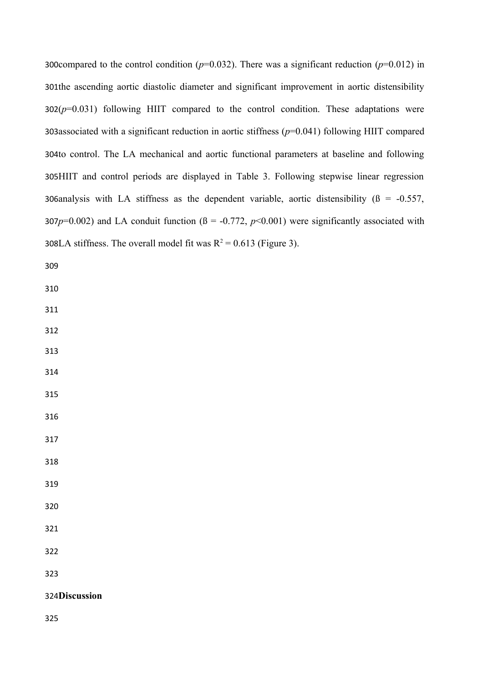300 compared to the control condition ( $p=0.032$ ). There was a significant reduction ( $p=0.012$ ) in 301the ascending aortic diastolic diameter and significant improvement in aortic distensibility  $302(p=0.031)$  following HIIT compared to the control condition. These adaptations were 303associated with a significant reduction in aortic stiffness  $(p=0.041)$  following HIIT compared 304to control. The LA mechanical and aortic functional parameters at baseline and following 305HIIT and control periods are displayed in Table 3. Following stepwise linear regression 306analysis with LA stiffness as the dependent variable, aortic distensibility  $(\beta = -0.557,$ 307 $p=0.002$ ) and LA conduit function ( $\beta = -0.772$ ,  $p<0.001$ ) were significantly associated with 308LA stiffness. The overall model fit was  $R^2 = 0.613$  (Figure 3).

 

# 324Discussion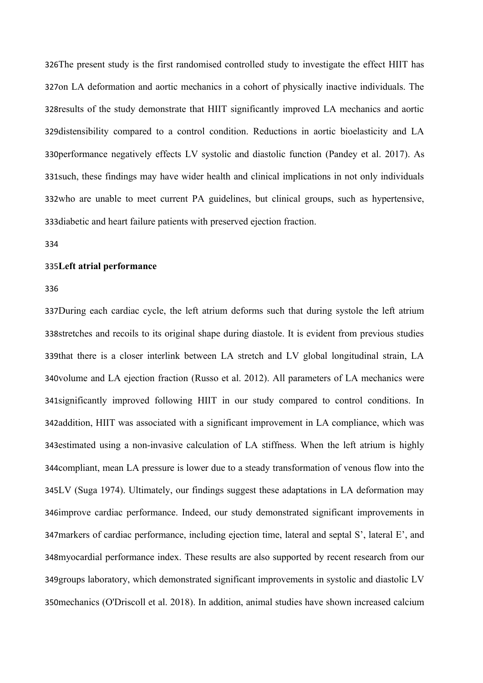326The present study is the first randomised controlled study to investigate the effect HIIT has 327on LA deformation and aortic mechanics in a cohort of physically inactive individuals. The 328 results of the study demonstrate that HIIT significantly improved LA mechanics and aortic 329 distensibility compared to a control condition. Reductions in aortic bioelasticity and LA 330performance negatively effects LV systolic and diastolic function (Pandey et al. 2017). As 331 such, these findings may have wider health and clinical implications in not only individuals 332who are unable to meet current PA guidelines, but clinical groups, such as hypertensive, 333 diabetic and heart failure patients with preserved ejection fraction.

334

#### **Left atrial performance** 335

336

337During each cardiac cycle, the left atrium deforms such that during systole the left atrium 338stretches and recoils to its original shape during diastole. It is evident from previous studies 339that there is a closer interlink between LA stretch and LV global longitudinal strain, LA 340volume and LA ejection fraction (Russo et al. 2012). All parameters of LA mechanics were 341 significantly improved following HIIT in our study compared to control conditions. In 342addition, HIIT was associated with a significant improvement in LA compliance, which was 343 estimated using a non-invasive calculation of LA stiffness. When the left atrium is highly 344 compliant, mean LA pressure is lower due to a steady transformation of venous flow into the 345LV (Suga 1974). Ultimately, our findings suggest these adaptations in LA deformation may 346improve cardiac performance. Indeed, our study demonstrated significant improvements in 347 markers of cardiac performance, including ejection time, lateral and septal S', lateral E', and 348myocardial performance index. These results are also supported by recent research from our 349 groups laboratory, which demonstrated significant improvements in systolic and diastolic LV 350 mechanics (O'Driscoll et al. 2018). In addition, animal studies have shown increased calcium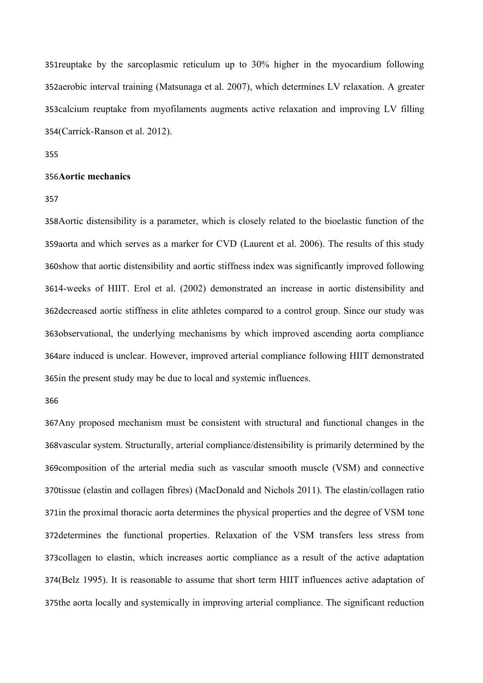351 reuptake by the sarcoplasmic reticulum up to 30% higher in the myocardium following 352aerobic interval training (Matsunaga et al. 2007), which determines LV relaxation. A greater 353calcium reuptake from myofilaments augments active relaxation and improving LV filling (Carrick-Ranson et al. 2012). 354

355

#### **Aortic mechanics** 356

357

358 Aortic distensibility is a parameter, which is closely related to the bioelastic function of the 359aorta and which serves as a marker for CVD (Laurent et al. 2006). The results of this study 360show that aortic distensibility and aortic stiffness index was significantly improved following 4-weeks of HIIT. Erol et al. (2002) demonstrated an increase in aortic distensibility and 361 362 decreased aortic stiffness in elite athletes compared to a control group. Since our study was 363observational, the underlying mechanisms by which improved ascending aorta compliance 364are induced is unclear. However, improved arterial compliance following HIIT demonstrated 365in the present study may be due to local and systemic influences.

366

367 Any proposed mechanism must be consistent with structural and functional changes in the 368vascular system. Structurally, arterial compliance/distensibility is primarily determined by the 369 composition of the arterial media such as vascular smooth muscle (VSM) and connective 370tissue (elastin and collagen fibres) (MacDonald and Nichols 2011). The elastin/collagen ratio 371in the proximal thoracic aorta determines the physical properties and the degree of VSM tone 372 determines the functional properties. Relaxation of the VSM transfers less stress from 373collagen to elastin, which increases aortic compliance as a result of the active adaptation 374(Belz 1995). It is reasonable to assume that short term HIIT influences active adaptation of 375the aorta locally and systemically in improving arterial compliance. The significant reduction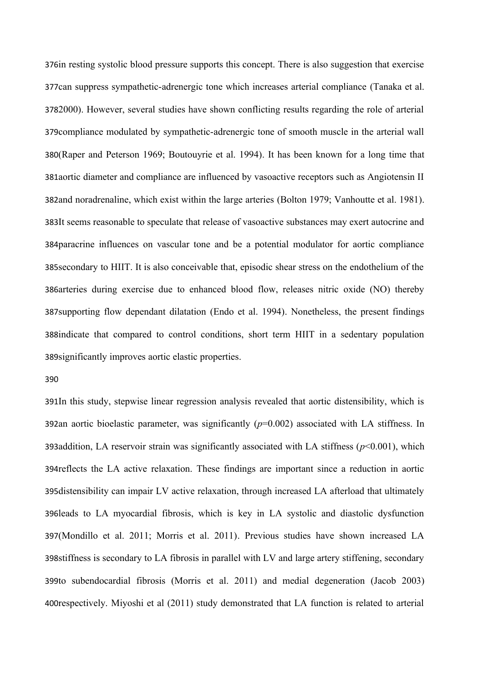376in resting systolic blood pressure supports this concept. There is also suggestion that exercise 377can suppress sympathetic-adrenergic tone which increases arterial compliance (Tanaka et al. 3782000). However, several studies have shown conflicting results regarding the role of arterial 379compliance modulated by sympathetic-adrenergic tone of smooth muscle in the arterial wall (Raper and Peterson 1969; Boutouyrie et al. 1994). It has been known for a long time that 380 381aortic diameter and compliance are influenced by vasoactive receptors such as Angiotensin II 382and noradrenaline, which exist within the large arteries (Bolton 1979; Vanhoutte et al. 1981). 383It seems reasonable to speculate that release of vasoactive substances may exert autocrine and 384 paracrine influences on vascular tone and be a potential modulator for aortic compliance 385 secondary to HIIT. It is also conceivable that, episodic shear stress on the endothelium of the 386arteries during exercise due to enhanced blood flow, releases nitric oxide (NO) thereby 387 supporting flow dependant dilatation (Endo et al. 1994). Nonetheless, the present findings 388indicate that compared to control conditions, short term HIIT in a sedentary population 389 significantly improves aortic elastic properties.

390

391In this study, stepwise linear regression analysis revealed that aortic distensibility, which is 392an aortic bioelastic parameter, was significantly  $(p=0.002)$  associated with LA stiffness. In 393addition, LA reservoir strain was significantly associated with LA stiffness  $(p<0.001)$ , which 394 reflects the LA active relaxation. These findings are important since a reduction in aortic 395distensibility can impair LV active relaxation, through increased LA afterload that ultimately 396leads to LA myocardial fibrosis, which is key in LA systolic and diastolic dysfunction (Mondillo et al. 2011; Morris et al. 2011). Previous studies have shown increased LA 397 398stiffness is secondary to LA fibrosis in parallel with LV and large artery stiffening, secondary 399to subendocardial fibrosis (Morris et al. 2011) and medial degeneration (Jacob 2003) 400respectively. Miyoshi et al (2011) study demonstrated that LA function is related to arterial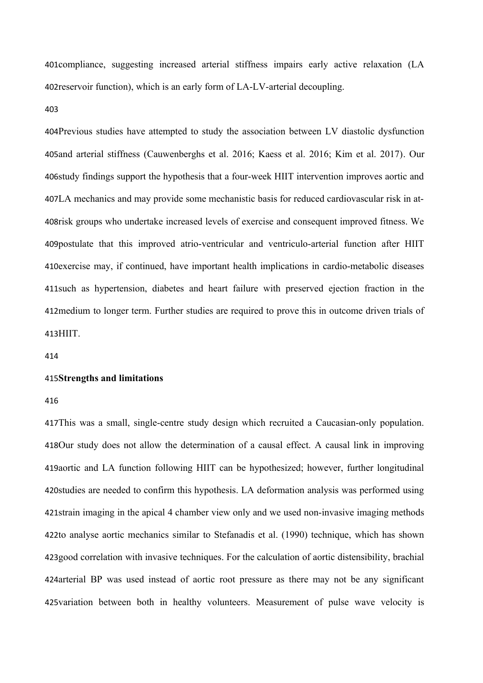401 compliance, suggesting increased arterial stiffness impairs early active relaxation (LA 402 reservoir function), which is an early form of LA-LV-arterial decoupling.

403

404Previous studies have attempted to study the association between LV diastolic dysfunction 405 and arterial stiffness (Cauwenberghs et al. 2016; Kaess et al. 2016; Kim et al. 2017). Our 406study findings support the hypothesis that a four-week HIIT intervention improves aortic and LA mechanics and may provide some mechanistic basis for reduced cardiovascular risk in at-407 408risk groups who undertake increased levels of exercise and consequent improved fitness. We 409 postulate that this improved atrio-ventricular and ventriculo-arterial function after HIIT 410 exercise may, if continued, have important health implications in cardio-metabolic diseases 411 such as hypertension, diabetes and heart failure with preserved ejection fraction in the 412 medium to longer term. Further studies are required to prove this in outcome driven trials of 413HIIT.

414

#### **Strengths and limitations** 415

416

417This was a small, single-centre study design which recruited a Caucasian-only population. 418Our study does not allow the determination of a causal effect. A causal link in improving 419aortic and LA function following HIIT can be hypothesized; however, further longitudinal 420studies are needed to confirm this hypothesis. LA deformation analysis was performed using 421strain imaging in the apical 4 chamber view only and we used non-invasive imaging methods 422to analyse aortic mechanics similar to Stefanadis et al. (1990) technique, which has shown 423good correlation with invasive techniques. For the calculation of aortic distensibility, brachial 424 arterial BP was used instead of aortic root pressure as there may not be any significant 425 variation between both in healthy volunteers. Measurement of pulse wave velocity is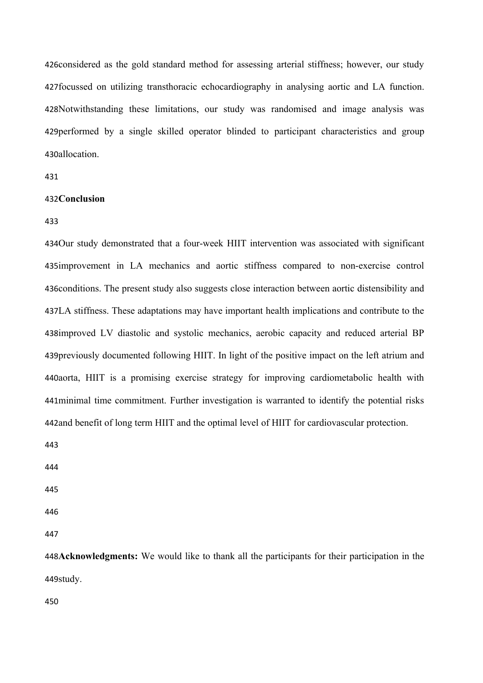426considered as the gold standard method for assessing arterial stiffness; however, our study 427 focussed on utilizing transthoracic echocardiography in analysing aortic and LA function. 428Notwithstanding these limitations, our study was randomised and image analysis was 429 performed by a single skilled operator blinded to participant characteristics and group 430allocation.

431

## 432Conclusion

433

434Our study demonstrated that a four-week HIIT intervention was associated with significant 435improvement in LA mechanics and aortic stiffness compared to non-exercise control 436 conditions. The present study also suggests close interaction between aortic distensibility and LA stiffness. These adaptations may have important health implications and contribute to the 437 438improved LV diastolic and systolic mechanics, aerobic capacity and reduced arterial BP 439 previously documented following HIIT. In light of the positive impact on the left atrium and 440aorta, HIIT is a promising exercise strategy for improving cardiometabolic health with 441 minimal time commitment. Further investigation is warranted to identify the potential risks 442 and benefit of long term HIIT and the optimal level of HIIT for cardiovascular protection.

443

444

445

446

447

**Acknowledgments:** We would like to thank all the participants for their participation in the 448 449study.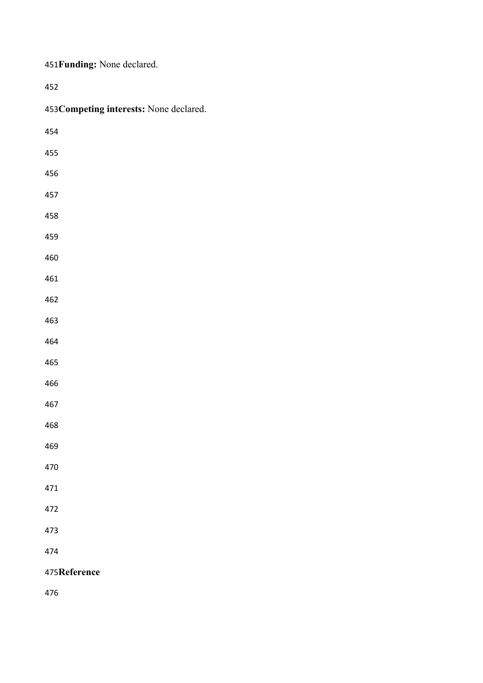|  | 451 Funding: None declared. |
|--|-----------------------------|
|--|-----------------------------|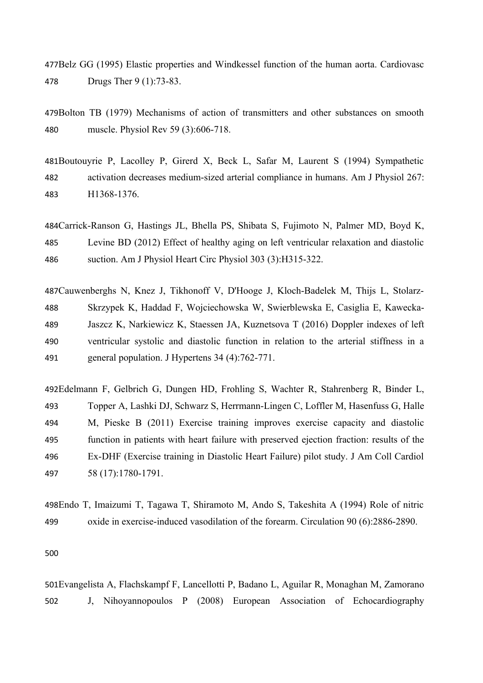477Belz GG (1995) Elastic properties and Windkessel function of the human aorta. Cardiovasc Drugs Ther 9 (1):73-83. 478

479Bolton TB (1979) Mechanisms of action of transmitters and other substances on smooth muscle. Physiol Rev 59 (3):606-718. 480

481Boutouyrie P, Lacolley P, Girerd X, Beck L, Safar M, Laurent S (1994) Sympathetic activation decreases medium-sized arterial compliance in humans. Am J Physiol 267: H1368-1376. 482 483

484Carrick-Ranson G, Hastings JL, Bhella PS, Shibata S, Fujimoto N, Palmer MD, Boyd K, Levine BD (2012) Effect of healthy aging on left ventricular relaxation and diastolic suction. Am J Physiol Heart Circ Physiol 303 (3):H315-322. 485 486

Cauwenberghs N, Knez J, Tikhonoff V, D'Hooge J, Kloch-Badelek M, Thijs L, Stolarz-487 Skrzypek K, Haddad F, Wojciechowska W, Swierblewska E, Casiglia E, Kawecka-Jaszcz K, Narkiewicz K, Staessen JA, Kuznetsova T (2016) Doppler indexes of left ventricular systolic and diastolic function in relation to the arterial stiffness in a general population. J Hypertens 34 (4):762-771. 488 489 490 491

Edelmann F, Gelbrich G, Dungen HD, Frohling S, Wachter R, Stahrenberg R, Binder L, 492 Topper A, Lashki DJ, Schwarz S, Herrmann-Lingen C, Loffler M, Hasenfuss G, Halle M, Pieske B (2011) Exercise training improves exercise capacity and diastolic function in patients with heart failure with preserved ejection fraction: results of the Ex-DHF (Exercise training in Diastolic Heart Failure) pilot study. J Am Coll Cardiol 58 (17):1780-1791. 493 494 495 496 497

Endo T, Imaizumi T, Tagawa T, Shiramoto M, Ando S, Takeshita A (1994) Role of nitric 498 oxide in exercise-induced vasodilation of the forearm. Circulation 90 (6):2886-2890. 499

500

Evangelista A, Flachskampf F, Lancellotti P, Badano L, Aguilar R, Monaghan M, Zamorano 501 J, Nihoyannopoulos P (2008) European Association of Echocardiography 502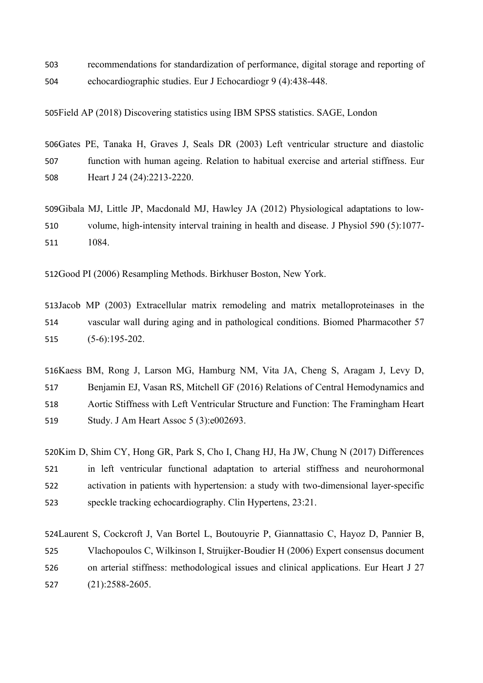recommendations for standardization of performance, digital storage and reporting of echocardiographic studies. Eur J Echocardiogr 9 (4):438-448. 503 504

Field AP (2018) Discovering statistics using IBM SPSS statistics. SAGE, London 505

506Gates PE, Tanaka H, Graves J, Seals DR (2003) Left ventricular structure and diastolic function with human ageing. Relation to habitual exercise and arterial stiffness. Eur Heart J 24 (24):2213-2220. 507 508

509Gibala MJ, Little JP, Macdonald MJ, Hawley JA (2012) Physiological adaptations to lowvolume, high-intensity interval training in health and disease. J Physiol 590 (5):1077- 1084. 510 511

512Good PI (2006) Resampling Methods. Birkhuser Boston, New York.

513Jacob MP (2003) Extracellular matrix remodeling and matrix metalloproteinases in the vascular wall during aging and in pathological conditions. Biomed Pharmacother 57 (5-6):195-202. 514 515

516Kaess BM, Rong J, Larson MG, Hamburg NM, Vita JA, Cheng S, Aragam J, Levy D, Benjamin EJ, Vasan RS, Mitchell GF (2016) Relations of Central Hemodynamics and Aortic Stiffness with Left Ventricular Structure and Function: The Framingham Heart Study. J Am Heart Assoc 5 (3):e002693. 517 518 519

520Kim D, Shim CY, Hong GR, Park S, Cho I, Chang HJ, Ha JW, Chung N (2017) Differences in left ventricular functional adaptation to arterial stiffness and neurohormonal activation in patients with hypertension: a study with two-dimensional layer-specific speckle tracking echocardiography. Clin Hypertens, 23:21. 521 522 523

524 Laurent S, Cockcroft J, Van Bortel L, Boutouyrie P, Giannattasio C, Hayoz D, Pannier B, Vlachopoulos C, Wilkinson I, Struijker-Boudier H (2006) Expert consensus document on arterial stiffness: methodological issues and clinical applications. Eur Heart J 27 (21):2588-2605. 525 526 527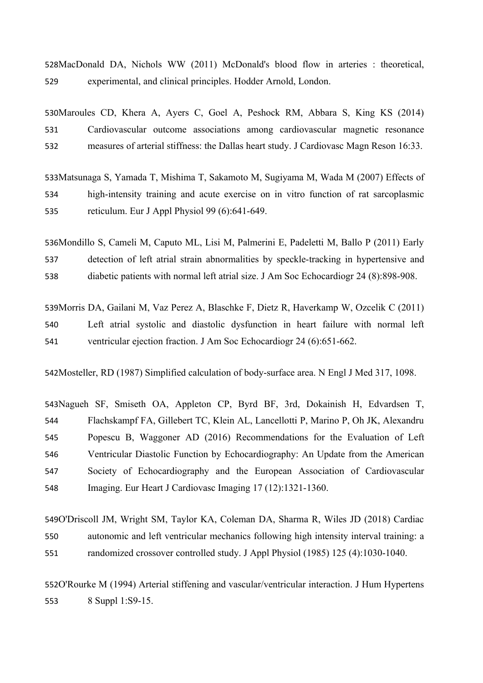528MacDonald DA, Nichols WW (2011) McDonald's blood flow in arteries : theoretical, experimental, and clinical principles. Hodder Arnold, London. 529

530Maroules CD, Khera A, Ayers C, Goel A, Peshock RM, Abbara S, King KS (2014) Cardiovascular outcome associations among cardiovascular magnetic resonance measures of arterial stiffness: the Dallas heart study. J Cardiovasc Magn Reson 16:33. 531 532

533Matsunaga S, Yamada T, Mishima T, Sakamoto M, Sugiyama M, Wada M (2007) Effects of high-intensity training and acute exercise on in vitro function of rat sarcoplasmic reticulum. Eur J Appl Physiol 99 (6):641-649. 534 535

536Mondillo S, Cameli M, Caputo ML, Lisi M, Palmerini E, Padeletti M, Ballo P (2011) Early detection of left atrial strain abnormalities by speckle-tracking in hypertensive and diabetic patients with normal left atrial size. J Am Soc Echocardiogr 24 (8):898-908. 537 538

539 Morris DA, Gailani M, Vaz Perez A, Blaschke F, Dietz R, Haverkamp W, Ozcelik C (2011) Left atrial systolic and diastolic dysfunction in heart failure with normal left ventricular ejection fraction. J Am Soc Echocardiogr 24 (6):651-662. 540 541

542Mosteller, RD (1987) Simplified calculation of body-surface area. N Engl J Med 317, 1098.

543Nagueh SF, Smiseth OA, Appleton CP, Byrd BF, 3rd, Dokainish H, Edvardsen T, Flachskampf FA, Gillebert TC, Klein AL, Lancellotti P, Marino P, Oh JK, Alexandru Popescu B, Waggoner AD (2016) Recommendations for the Evaluation of Left Ventricular Diastolic Function by Echocardiography: An Update from the American Society of Echocardiography and the European Association of Cardiovascular Imaging. Eur Heart J Cardiovasc Imaging 17 (12):1321-1360. 544 545 546 547 548

549O'Driscoll JM, Wright SM, Taylor KA, Coleman DA, Sharma R, Wiles JD (2018) Cardiac autonomic and left ventricular mechanics following high intensity interval training: a randomized crossover controlled study. J Appl Physiol (1985) 125 (4):1030-1040. 550 551

552O'Rourke M (1994) Arterial stiffening and vascular/ventricular interaction. J Hum Hypertens 8 Suppl 1:S9-15. 553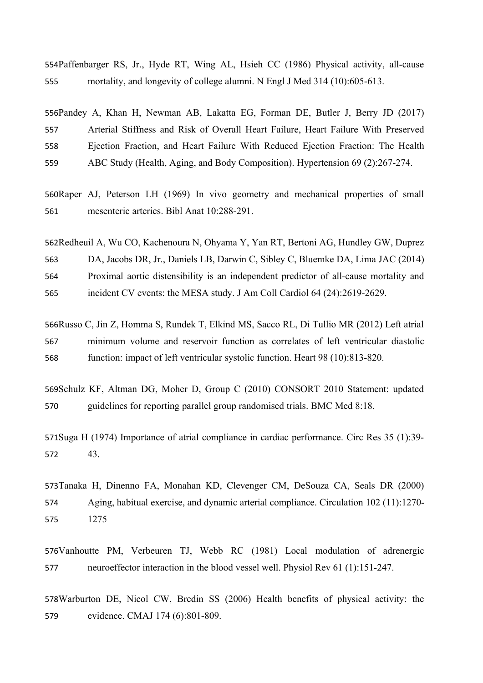554Paffenbarger RS, Jr., Hyde RT, Wing AL, Hsieh CC (1986) Physical activity, all-cause mortality, and longevity of college alumni. N Engl J Med 314 (10):605-613. 555

556Pandey A, Khan H, Newman AB, Lakatta EG, Forman DE, Butler J, Berry JD (2017) Arterial Stiffness and Risk of Overall Heart Failure, Heart Failure With Preserved Ejection Fraction, and Heart Failure With Reduced Ejection Fraction: The Health ABC Study (Health, Aging, and Body Composition). Hypertension 69 (2):267-274. 557 558 559

560 Raper AJ, Peterson LH (1969) In vivo geometry and mechanical properties of small mesenteric arteries. Bibl Anat 10:288-291. 561

562Redheuil A, Wu CO, Kachenoura N, Ohyama Y, Yan RT, Bertoni AG, Hundley GW, Duprez DA, Jacobs DR, Jr., Daniels LB, Darwin C, Sibley C, Bluemke DA, Lima JAC (2014) Proximal aortic distensibility is an independent predictor of all-cause mortality and incident CV events: the MESA study. J Am Coll Cardiol 64 (24):2619-2629. 563 564 565

566Russo C, Jin Z, Homma S, Rundek T, Elkind MS, Sacco RL, Di Tullio MR (2012) Left atrial minimum volume and reservoir function as correlates of left ventricular diastolic function: impact of left ventricular systolic function. Heart 98 (10):813-820. 567 568

569Schulz KF, Altman DG, Moher D, Group C (2010) CONSORT 2010 Statement: updated guidelines for reporting parallel group randomised trials. BMC Med 8:18. 570

571 Suga H (1974) Importance of atrial compliance in cardiac performance. Circ Res 35 (1):39-43. 572

573Tanaka H, Dinenno FA, Monahan KD, Clevenger CM, DeSouza CA, Seals DR (2000) Aging, habitual exercise, and dynamic arterial compliance. Circulation 102 (11):1270- 1275 574 575

576Vanhoutte PM, Verbeuren TJ, Webb RC (1981) Local modulation of adrenergic neuroeffector interaction in the blood vessel well. Physiol Rev 61 (1):151-247. 577

578Warburton DE, Nicol CW, Bredin SS (2006) Health benefits of physical activity: the evidence. CMAJ 174 (6):801-809. 579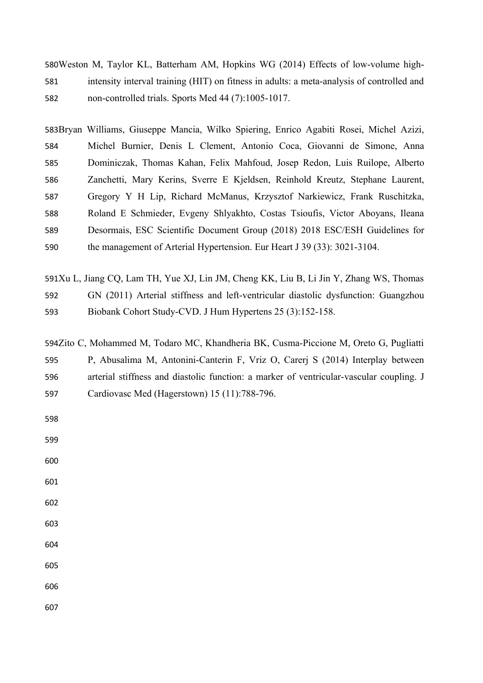580Weston M, Taylor KL, Batterham AM, Hopkins WG (2014) Effects of low-volume highintensity interval training (HIT) on fitness in adults: a meta-analysis of controlled and non-controlled trials. Sports Med 44 (7):1005-1017. 581 582

583Bryan Williams, Giuseppe Mancia, Wilko Spiering, Enrico Agabiti Rosei, Michel Azizi, Michel Burnier, Denis L Clement, Antonio Coca, Giovanni de Simone, Anna Dominiczak, Thomas Kahan, Felix Mahfoud, Josep Redon, Luis Ruilope, Alberto Zanchetti, Mary Kerins, Sverre E Kjeldsen, Reinhold Kreutz, Stephane Laurent, Gregory Y H Lip, Richard McManus, Krzysztof Narkiewicz, Frank Ruschitzka, Roland E Schmieder, Evgeny Shlyakhto, Costas Tsioufis, Victor Aboyans, Ileana Desormais, ESC Scientific Document Group (2018) 2018 ESC/ESH Guidelines for the management of Arterial Hypertension. Eur Heart J 39 (33): 3021-3104. 584 585 586 587 588 589 590

591Xu L, Jiang CQ, Lam TH, Yue XJ, Lin JM, Cheng KK, Liu B, Li Jin Y, Zhang WS, Thomas GN (2011) Arterial stiffness and left-ventricular diastolic dysfunction: Guangzhou Biobank Cohort Study-CVD. J Hum Hypertens 25 (3):152-158. 592 593

594Zito C, Mohammed M, Todaro MC, Khandheria BK, Cusma-Piccione M, Oreto G, Pugliatti P, Abusalima M, Antonini-Canterin F, Vriz O, Carerj S (2014) Interplay between arterial stiffness and diastolic function: a marker of ventricular-vascular coupling. J Cardiovasc Med (Hagerstown) 15 (11):788-796. 595 596 597

598

599

600

601

- 602
- 603

604

605

606